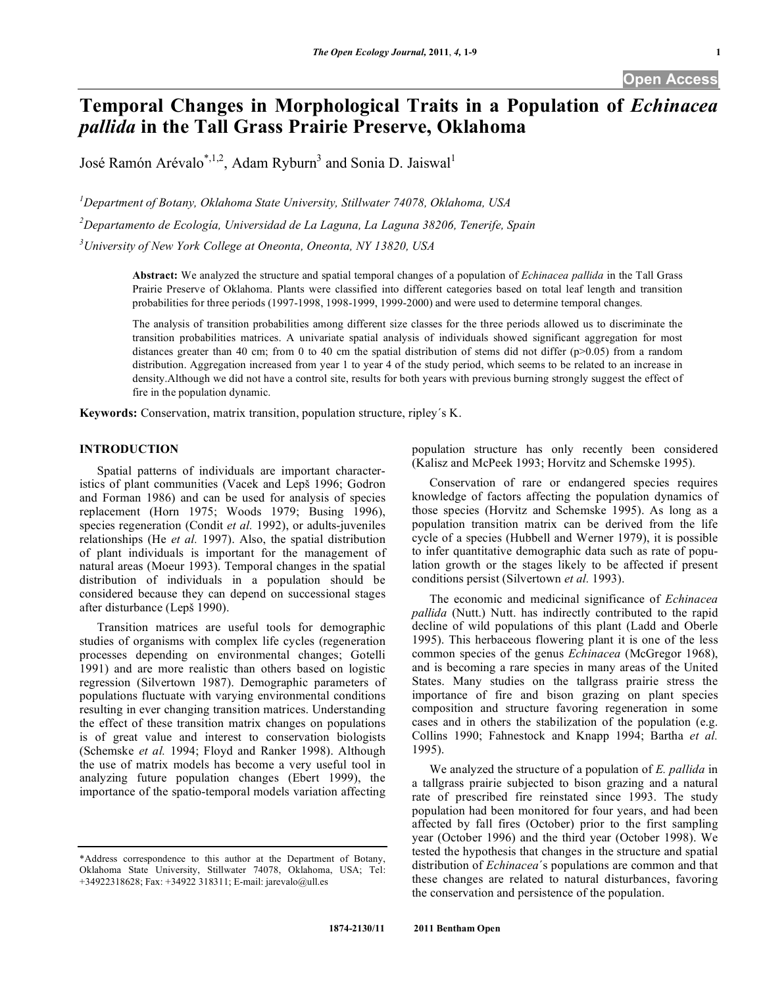**Open Access**

# **Temporal Changes in Morphological Traits in a Population of** *Echinacea pallida* **in the Tall Grass Prairie Preserve, Oklahoma**

José Ramón Arévalo<sup>\*,1,2</sup>, Adam Ryburn<sup>3</sup> and Sonia D. Jaiswal<sup>1</sup>

*1 Department of Botany, Oklahoma State University, Stillwater 74078, Oklahoma, USA 2 Departamento de Ecología, Universidad de La Laguna, La Laguna 38206, Tenerife, Spain*

*3 University of New York College at Oneonta, Oneonta, NY 13820, USA*

**Abstract:** We analyzed the structure and spatial temporal changes of a population of *Echinacea pallida* in the Tall Grass Prairie Preserve of Oklahoma. Plants were classified into different categories based on total leaf length and transition probabilities for three periods (1997-1998, 1998-1999, 1999-2000) and were used to determine temporal changes.

The analysis of transition probabilities among different size classes for the three periods allowed us to discriminate the transition probabilities matrices. A univariate spatial analysis of individuals showed significant aggregation for most distances greater than 40 cm; from 0 to 40 cm the spatial distribution of stems did not differ (p>0.05) from a random distribution. Aggregation increased from year 1 to year 4 of the study period, which seems to be related to an increase in density.Although we did not have a control site, results for both years with previous burning strongly suggest the effect of fire in the population dynamic.

**Keywords:** Conservation, matrix transition, population structure, ripley´s K.

# **INTRODUCTION**

Spatial patterns of individuals are important characteristics of plant communities (Vacek and Lepš 1996; Godron and Forman 1986) and can be used for analysis of species replacement (Horn 1975; Woods 1979; Busing 1996), species regeneration (Condit *et al.* 1992), or adults-juveniles relationships (He *et al.* 1997). Also, the spatial distribution of plant individuals is important for the management of natural areas (Moeur 1993). Temporal changes in the spatial distribution of individuals in a population should be considered because they can depend on successional stages after disturbance (Lepš 1990).

Transition matrices are useful tools for demographic studies of organisms with complex life cycles (regeneration processes depending on environmental changes; Gotelli 1991) and are more realistic than others based on logistic regression (Silvertown 1987). Demographic parameters of populations fluctuate with varying environmental conditions resulting in ever changing transition matrices. Understanding the effect of these transition matrix changes on populations is of great value and interest to conservation biologists (Schemske *et al.* 1994; Floyd and Ranker 1998). Although the use of matrix models has become a very useful tool in analyzing future population changes (Ebert 1999), the importance of the spatio-temporal models variation affecting

population structure has only recently been considered (Kalisz and McPeek 1993; Horvitz and Schemske 1995).

Conservation of rare or endangered species requires knowledge of factors affecting the population dynamics of those species (Horvitz and Schemske 1995). As long as a population transition matrix can be derived from the life cycle of a species (Hubbell and Werner 1979), it is possible to infer quantitative demographic data such as rate of population growth or the stages likely to be affected if present conditions persist (Silvertown *et al.* 1993).

The economic and medicinal significance of *Echinacea pallida* (Nutt.) Nutt. has indirectly contributed to the rapid decline of wild populations of this plant (Ladd and Oberle 1995). This herbaceous flowering plant it is one of the less common species of the genus *Echinacea* (McGregor 1968), and is becoming a rare species in many areas of the United States. Many studies on the tallgrass prairie stress the importance of fire and bison grazing on plant species composition and structure favoring regeneration in some cases and in others the stabilization of the population (e.g. Collins 1990; Fahnestock and Knapp 1994; Bartha *et al.* 1995).

We analyzed the structure of a population of *E. pallida* in a tallgrass prairie subjected to bison grazing and a natural rate of prescribed fire reinstated since 1993. The study population had been monitored for four years, and had been affected by fall fires (October) prior to the first sampling year (October 1996) and the third year (October 1998). We tested the hypothesis that changes in the structure and spatial distribution of *Echinacea*´s populations are common and that these changes are related to natural disturbances, favoring the conservation and persistence of the population.

<sup>\*</sup>Address correspondence to this author at the Department of Botany, Oklahoma State University, Stillwater 74078, Oklahoma, USA; Tel: +34922318628; Fax: +34922 318311; E-mail: jarevalo@ull.es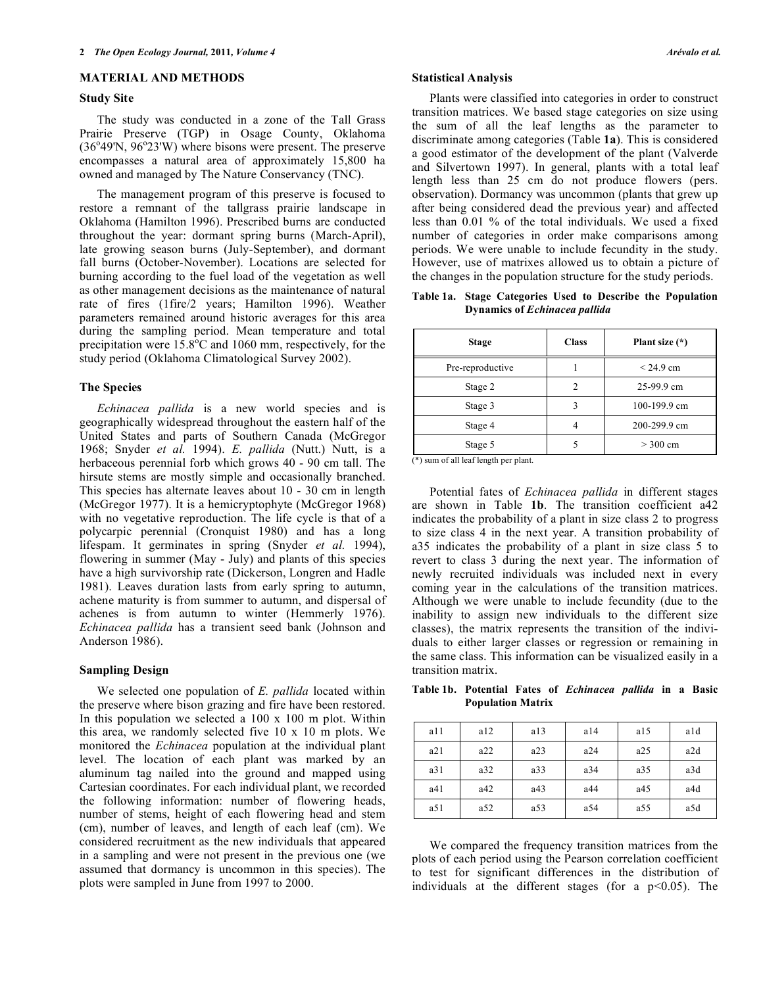# **MATERIAL AND METHODS**

### **Study Site**

The study was conducted in a zone of the Tall Grass Prairie Preserve (TGP) in Osage County, Oklahoma (36°49'N, 96°23'W) where bisons were present. The preserve encompasses a natural area of approximately 15,800 ha owned and managed by The Nature Conservancy (TNC).

The management program of this preserve is focused to restore a remnant of the tallgrass prairie landscape in Oklahoma (Hamilton 1996). Prescribed burns are conducted throughout the year: dormant spring burns (March-April), late growing season burns (July-September), and dormant fall burns (October-November). Locations are selected for burning according to the fuel load of the vegetation as well as other management decisions as the maintenance of natural rate of fires (1fire/2 years; Hamilton 1996). Weather parameters remained around historic averages for this area during the sampling period. Mean temperature and total precipitation were  $15.8^{\circ}$ C and 1060 mm, respectively, for the study period (Oklahoma Climatological Survey 2002).

# **The Species**

*Echinacea pallida* is a new world species and is geographically widespread throughout the eastern half of the United States and parts of Southern Canada (McGregor 1968; Snyder *et al.* 1994). *E. pallida* (Nutt.) Nutt, is a herbaceous perennial forb which grows 40 - 90 cm tall. The hirsute stems are mostly simple and occasionally branched. This species has alternate leaves about 10 - 30 cm in length (McGregor 1977). It is a hemicryptophyte (McGregor 1968) with no vegetative reproduction. The life cycle is that of a polycarpic perennial (Cronquist 1980) and has a long lifespam. It germinates in spring (Snyder *et al.* 1994), flowering in summer (May - July) and plants of this species have a high survivorship rate (Dickerson, Longren and Hadle 1981). Leaves duration lasts from early spring to autumn, achene maturity is from summer to autumn, and dispersal of achenes is from autumn to winter (Hemmerly 1976). *Echinacea pallida* has a transient seed bank (Johnson and Anderson 1986).

# **Sampling Design**

We selected one population of *E. pallida* located within the preserve where bison grazing and fire have been restored. In this population we selected a  $100 \times 100$  m plot. Within this area, we randomly selected five 10 x 10 m plots. We monitored the *Echinacea* population at the individual plant level. The location of each plant was marked by an aluminum tag nailed into the ground and mapped using Cartesian coordinates. For each individual plant, we recorded the following information: number of flowering heads, number of stems, height of each flowering head and stem (cm), number of leaves, and length of each leaf (cm). We considered recruitment as the new individuals that appeared in a sampling and were not present in the previous one (we assumed that dormancy is uncommon in this species). The plots were sampled in June from 1997 to 2000.

#### **Statistical Analysis**

Plants were classified into categories in order to construct transition matrices. We based stage categories on size using the sum of all the leaf lengths as the parameter to discriminate among categories (Table **1a**). This is considered a good estimator of the development of the plant (Valverde and Silvertown 1997). In general, plants with a total leaf length less than 25 cm do not produce flowers (pers. observation). Dormancy was uncommon (plants that grew up after being considered dead the previous year) and affected less than 0.01 % of the total individuals. We used a fixed number of categories in order make comparisons among periods. We were unable to include fecundity in the study. However, use of matrixes allowed us to obtain a picture of the changes in the population structure for the study periods.

**Table 1a. Stage Categories Used to Describe the Population Dynamics of** *Echinacea pallida*

| <b>Stage</b>     | <b>Class</b> | Plant size $(*)$ |
|------------------|--------------|------------------|
| Pre-reproductive |              | $<$ 24.9 cm      |
| Stage 2          |              | 25-99.9 cm       |
| Stage 3          |              | 100-199.9 cm     |
| Stage 4          |              | 200-299.9 cm     |
| Stage 5          |              | $> 300$ cm       |

(\*) sum of all leaf length per plant.

Potential fates of *Echinacea pallida* in different stages are shown in Table **1b**. The transition coefficient a42 indicates the probability of a plant in size class 2 to progress to size class 4 in the next year. A transition probability of a35 indicates the probability of a plant in size class 5 to revert to class 3 during the next year. The information of newly recruited individuals was included next in every coming year in the calculations of the transition matrices. Although we were unable to include fecundity (due to the inability to assign new individuals to the different size classes), the matrix represents the transition of the individuals to either larger classes or regression or remaining in the same class. This information can be visualized easily in a transition matrix.

**Table 1b. Potential Fates of** *Echinacea pallida* **in a Basic Population Matrix**

| a11 | a12 | a13 | a14 | a15 | ald |
|-----|-----|-----|-----|-----|-----|
| a21 | a22 | a23 | a24 | a25 | a2d |
| a31 | a32 | a33 | a34 | a35 | a3d |
| a41 | a42 | a43 | a44 | a45 | a4d |
| a51 | a52 | a53 | a54 | a55 | a5d |

We compared the frequency transition matrices from the plots of each period using the Pearson correlation coefficient to test for significant differences in the distribution of individuals at the different stages (for a  $p<0.05$ ). The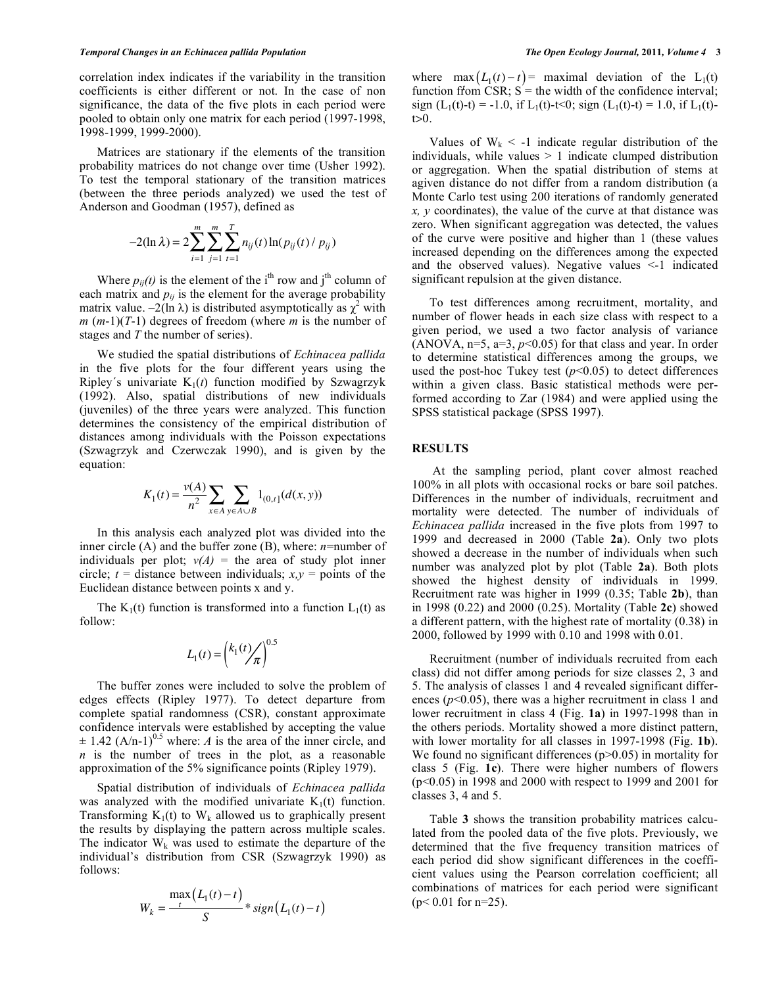#### *Temporal Changes in an Echinacea pallida Population The Open Ecology Journal,* **2011***, Volume 4* **3**

correlation index indicates if the variability in the transition coefficients is either different or not. In the case of non significance, the data of the five plots in each period were pooled to obtain only one matrix for each period (1997-1998, 1998-1999, 1999-2000).

Matrices are stationary if the elements of the transition probability matrices do not change over time (Usher 1992). To test the temporal stationary of the transition matrices (between the three periods analyzed) we used the test of Anderson and Goodman (1957), defined as

$$
-2(\ln \lambda) = 2 \sum_{i=1}^{m} \sum_{j=1}^{m} \sum_{t=1}^{T} n_{ij}(t) \ln(p_{ij}(t) / p_{ij})
$$

Where  $p_{ij}(t)$  is the element of the i<sup>th</sup> row and j<sup>th</sup> column of each matrix and  $p_{ij}$  is the element for the average probability matrix value.  $-2(\ln \lambda)$  is distributed asymptotically as  $\chi^2$  with *m* (*m*-1)(*T*-1) degrees of freedom (where *m* is the number of stages and *T* the number of series).

We studied the spatial distributions of *Echinacea pallida* in the five plots for the four different years using the Ripley's univariate  $K_1(t)$  function modified by Szwagrzyk (1992). Also, spatial distributions of new individuals (juveniles) of the three years were analyzed. This function determines the consistency of the empirical distribution of distances among individuals with the Poisson expectations (Szwagrzyk and Czerwczak 1990), and is given by the equation:

$$
K_1(t) = \frac{v(A)}{n^2} \sum_{x \in A} \sum_{y \in A \cup B} 1_{(0,t]}(d(x,y))
$$

In this analysis each analyzed plot was divided into the inner circle (A) and the buffer zone (B), where: *n*=number of individuals per plot;  $v(A)$  = the area of study plot inner circle;  $t =$  distance between individuals;  $x, y =$  points of the Euclidean distance between points x and y.

The  $K_1(t)$  function is transformed into a function  $L_1(t)$  as follow:

$$
L_1(t) = \left(\frac{k_1(t)}{\pi}\right)^{0.5}
$$

The buffer zones were included to solve the problem of edges effects (Ripley 1977). To detect departure from complete spatial randomness (CSR), constant approximate confidence intervals were established by accepting the value  $\pm$  1.42 (A/n-1)<sup>0.5</sup> where: *A* is the area of the inner circle, and  $n$  is the number of trees in the plot, as a reasonable approximation of the 5% significance points (Ripley 1979).

Spatial distribution of individuals of *Echinacea pallida* was analyzed with the modified univariate  $K_1(t)$  function. Transforming  $K_1(t)$  to  $W_k$  allowed us to graphically present the results by displaying the pattern across multiple scales. The indicator  $W_k$  was used to estimate the departure of the individual's distribution from CSR (Szwagrzyk 1990) as follows:

$$
W_k = \frac{\max\left(L_1(t) - t\right)}{S} * sign\left(L_1(t) - t\right)
$$

where  $\max(L_1(t) - t)$  = maximal deviation of the L<sub>1</sub>(t) function from CSR;  $S =$  the width of the confidence interval; sign (L<sub>1</sub>(t)-t) = -1.0, if L<sub>1</sub>(t)-t<0; sign (L<sub>1</sub>(t)-t) = 1.0, if L<sub>1</sub>(t) $t>0$ .

Values of  $W_k$  < -1 indicate regular distribution of the individuals, while values  $> 1$  indicate clumped distribution or aggregation. When the spatial distribution of stems at agiven distance do not differ from a random distribution (a Monte Carlo test using 200 iterations of randomly generated *x, y* coordinates), the value of the curve at that distance was zero. When significant aggregation was detected, the values of the curve were positive and higher than 1 (these values increased depending on the differences among the expected and the observed values). Negative values <-1 indicated significant repulsion at the given distance.

To test differences among recruitment, mortality, and number of flower heads in each size class with respect to a given period, we used a two factor analysis of variance (ANOVA,  $n=5$ ,  $a=3$ ,  $p<0.05$ ) for that class and year. In order to determine statistical differences among the groups, we used the post-hoc Tukey test  $(p<0.05)$  to detect differences within a given class. Basic statistical methods were performed according to Zar (1984) and were applied using the SPSS statistical package (SPSS 1997).

#### **RESULTS**

At the sampling period, plant cover almost reached 100% in all plots with occasional rocks or bare soil patches. Differences in the number of individuals, recruitment and mortality were detected. The number of individuals of *Echinacea pallida* increased in the five plots from 1997 to 1999 and decreased in 2000 (Table **2a**). Only two plots showed a decrease in the number of individuals when such number was analyzed plot by plot (Table **2a**). Both plots showed the highest density of individuals in 1999. Recruitment rate was higher in 1999 (0.35; Table **2b**), than in 1998 (0.22) and 2000 (0.25). Mortality (Table **2c**) showed a different pattern, with the highest rate of mortality (0.38) in 2000, followed by 1999 with 0.10 and 1998 with 0.01.

Recruitment (number of individuals recruited from each class) did not differ among periods for size classes 2, 3 and 5. The analysis of classes 1 and 4 revealed significant differences ( $p$ <0.05), there was a higher recruitment in class 1 and lower recruitment in class 4 (Fig. **1a**) in 1997-1998 than in the others periods. Mortality showed a more distinct pattern, with lower mortality for all classes in 1997-1998 (Fig. **1b**). We found no significant differences  $(p>0.05)$  in mortality for class 5 (Fig. **1c**). There were higher numbers of flowers (p<0.05) in 1998 and 2000 with respect to 1999 and 2001 for classes 3, 4 and 5.

Table **3** shows the transition probability matrices calculated from the pooled data of the five plots. Previously, we determined that the five frequency transition matrices of each period did show significant differences in the coefficient values using the Pearson correlation coefficient; all combinations of matrices for each period were significant  $(p< 0.01$  for n=25).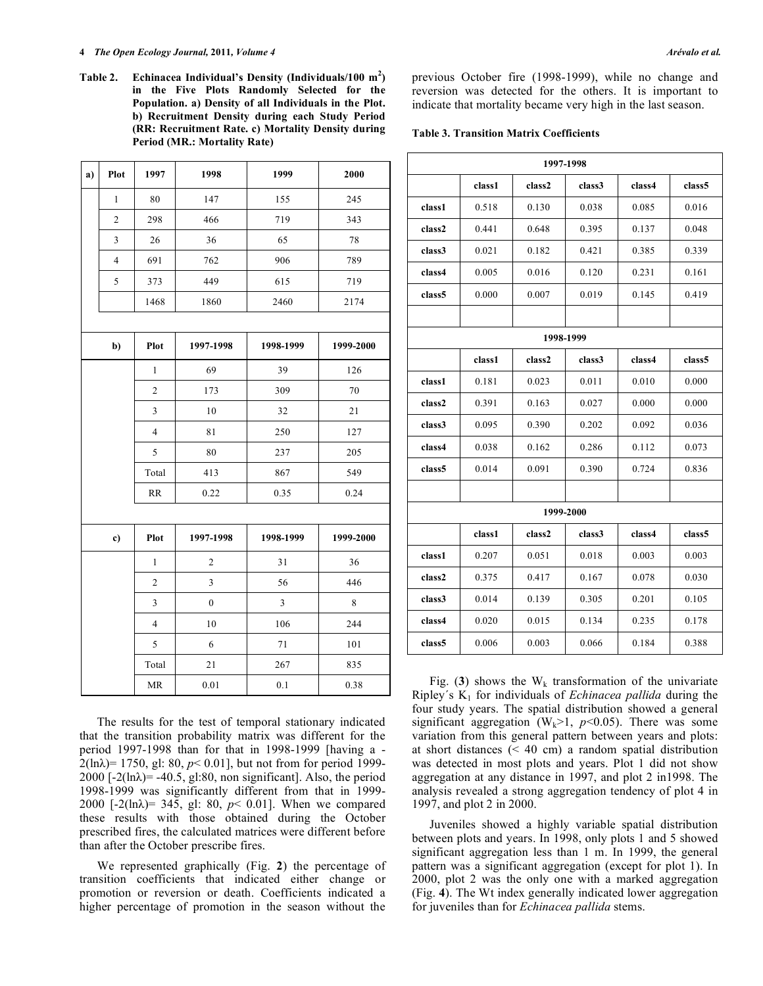#### **4** *The Open Ecology Journal,* **2011***, Volume 4 Arévalo et al.*

**Table 2. Echinacea Individual's Density (Individuals/100 m<sup>2</sup> ) in the Five Plots Randomly Selected for the Population. a) Density of all Individuals in the Plot. b) Recruitment Density during each Study Period (RR: Recruitment Rate. c) Mortality Density during Period (MR.: Mortality Rate)**

The results for the test of temporal stationary indicated that the transition probability matrix was different for the period 1997-1998 than for that in 1998-1999 [having a - 2(lnλ)= 1750, gl: 80, *p*< 0.01], but not from for period 1999- 2000 [ $-2(\ln\lambda)$ =  $-40.5$ , gl:80, non significant]. Also, the period 1998-1999 was significantly different from that in 1999- 2000 [-2(lnλ)= 345, gl: 80, *p*< 0.01]. When we compared these results with those obtained during the October prescribed fires, the calculated matrices were different before than after the October prescribe fires.

We represented graphically (Fig. **2**) the percentage of transition coefficients that indicated either change or promotion or reversion or death. Coefficients indicated a higher percentage of promotion in the season without the

previous October fire (1998-1999), while no change and reversion was detected for the others. It is important to indicate that mortality became very high in the last season.

# **Table 3. Transition Matrix Coefficients**

| 1997-1998 |        |        |        |        |        |  |  |  |  |
|-----------|--------|--------|--------|--------|--------|--|--|--|--|
|           | class1 | class2 | class3 | class4 | class5 |  |  |  |  |
| class1    | 0.518  | 0.130  | 0.038  | 0.085  | 0.016  |  |  |  |  |
| class2    | 0.441  | 0.648  | 0.395  | 0.137  | 0.048  |  |  |  |  |
| class3    | 0.021  | 0.182  | 0.421  | 0.385  | 0.339  |  |  |  |  |
| class4    | 0.005  | 0.016  | 0.120  | 0.231  | 0.161  |  |  |  |  |
| class5    | 0.000  | 0.007  | 0.019  | 0.145  | 0.419  |  |  |  |  |
|           |        |        |        |        |        |  |  |  |  |
| 1998-1999 |        |        |        |        |        |  |  |  |  |
|           | class1 | class2 | class3 | class4 | class5 |  |  |  |  |
| class1    | 0.181  | 0.023  | 0.011  | 0.010  | 0.000  |  |  |  |  |
| class2    | 0.391  | 0.163  | 0.027  | 0.000  | 0.000  |  |  |  |  |
| class3    | 0.095  | 0.390  | 0.202  | 0.092  | 0.036  |  |  |  |  |
| class4    | 0.038  | 0.162  | 0.286  | 0.112  | 0.073  |  |  |  |  |
| class5    | 0.014  | 0.091  | 0.390  | 0.724  | 0.836  |  |  |  |  |
|           |        |        |        |        |        |  |  |  |  |
| 1999-2000 |        |        |        |        |        |  |  |  |  |
|           | class1 | class2 | class3 | class4 | class5 |  |  |  |  |
| class1    | 0.207  | 0.051  | 0.018  | 0.003  | 0.003  |  |  |  |  |
| class2    | 0.375  | 0.417  | 0.167  | 0.078  | 0.030  |  |  |  |  |
| class3    | 0.014  | 0.139  | 0.305  | 0.201  | 0.105  |  |  |  |  |
| class4    | 0.020  | 0.015  | 0.134  | 0.235  | 0.178  |  |  |  |  |
| class5    | 0.006  | 0.003  | 0.066  | 0.184  | 0.388  |  |  |  |  |

Fig. (3) shows the  $W_k$  transformation of the univariate Ripley´s K1 for individuals of *Echinacea pallida* during the four study years. The spatial distribution showed a general significant aggregation (W<sub>k</sub> $>1$ ,  $p<0.05$ ). There was some variation from this general pattern between years and plots: at short distances (< 40 cm) a random spatial distribution was detected in most plots and years. Plot 1 did not show aggregation at any distance in 1997, and plot 2 in1998. The analysis revealed a strong aggregation tendency of plot 4 in 1997, and plot 2 in 2000.

Juveniles showed a highly variable spatial distribution between plots and years. In 1998, only plots 1 and 5 showed significant aggregation less than 1 m. In 1999, the general pattern was a significant aggregation (except for plot 1). In 2000, plot 2 was the only one with a marked aggregation (Fig. **4**). The Wt index generally indicated lower aggregation for juveniles than for *Echinacea pallida* stems.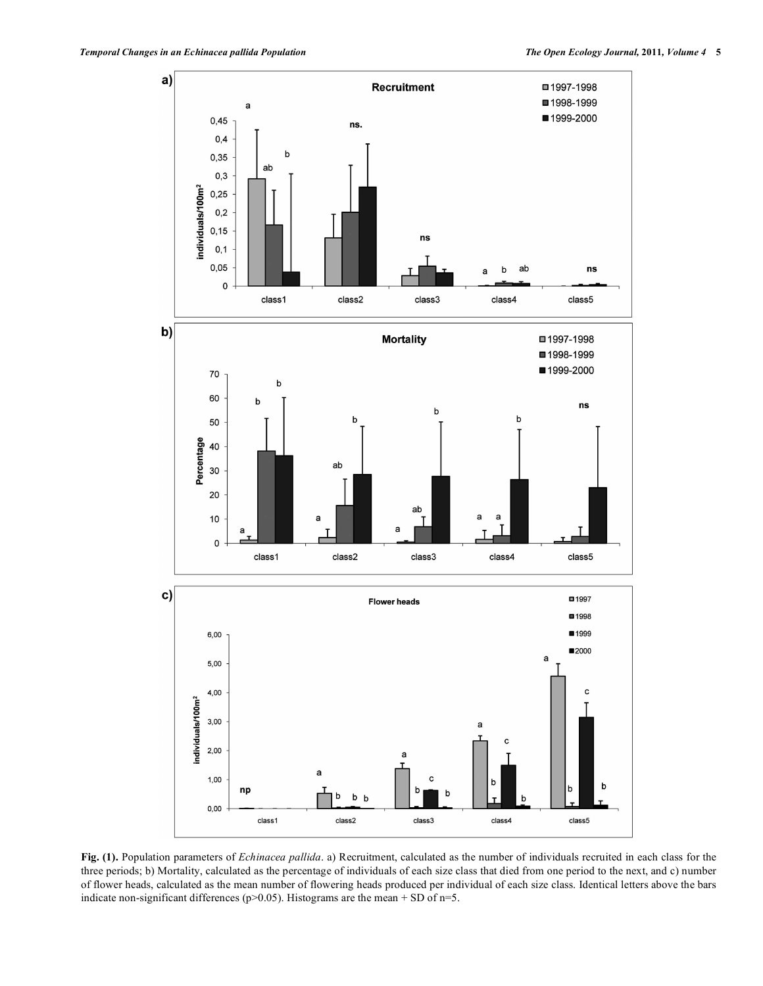

**Fig. (1).** Population parameters of *Echinacea pallida*. a) Recruitment, calculated as the number of individuals recruited in each class for the three periods; b) Mortality, calculated as the percentage of individuals of each size class that died from one period to the next, and c) number of flower heads, calculated as the mean number of flowering heads produced per individual of each size class. Identical letters above the bars indicate non-significant differences ( $p$ >0.05). Histograms are the mean + SD of n=5.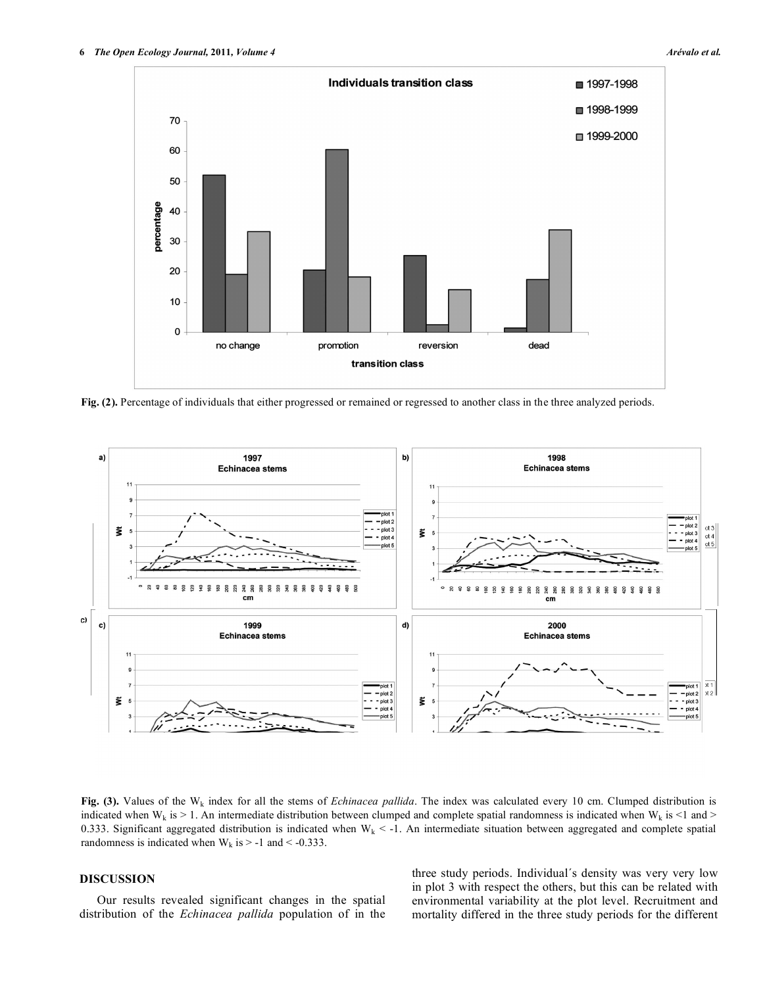

**Fig. (2).** Percentage of individuals that either progressed or remained or regressed to another class in the three analyzed periods.



**Fig. (3).** Values of the  $W_k$  index for all the stems of *Echinacea pallida*. The index was calculated every 10 cm. Clumped distribution is indicated when  $W_k$  is  $> 1$ . An intermediate distribution between clumped and complete spatial randomness is indicated when  $W_k$  is  $\leq 1$  and  $\geq$ 0.333. Significant aggregated distribution is indicated when  $W_k < -1$ . An intermediate situation between aggregated and complete spatial randomness is indicated when  $W_k$  is  $> -1$  and  $< -0.333$ .

# **DISCUSSION**

Our results revealed significant changes in the spatial distribution of the *Echinacea pallida* population of in the three study periods. Individual´s density was very very low in plot 3 with respect the others, but this can be related with environmental variability at the plot level. Recruitment and mortality differed in the three study periods for the different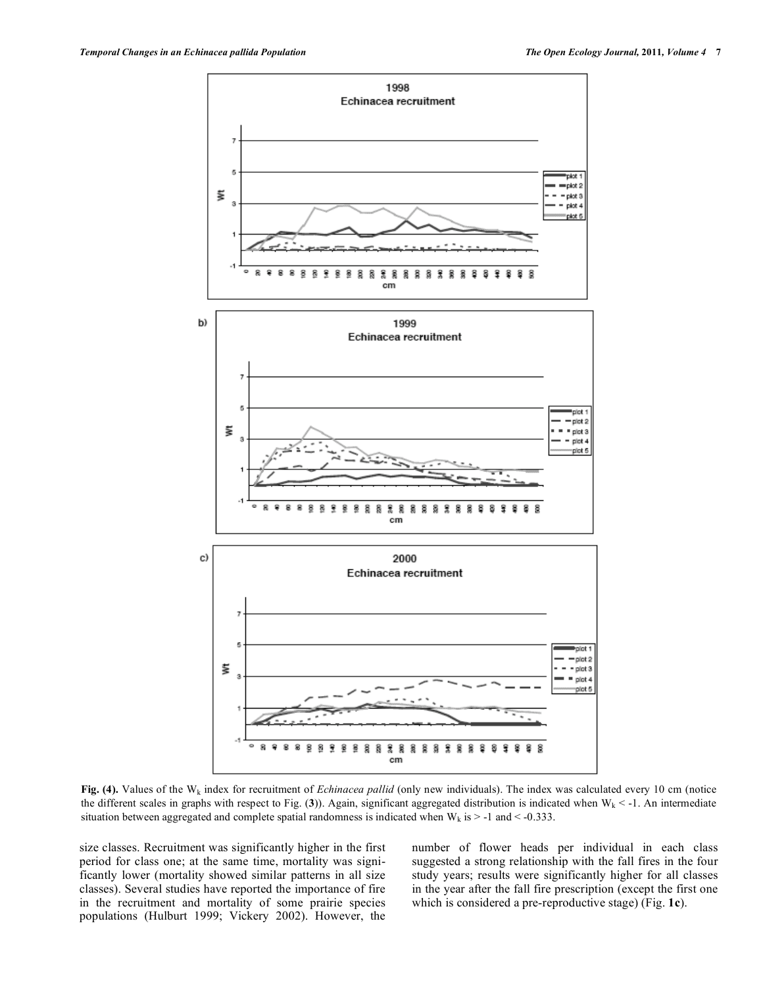

**Fig. (4).** Values of the W<sub>k</sub> index for recruitment of *Echinacea pallid* (only new individuals). The index was calculated every 10 cm (notice the different scales in graphs with respect to Fig. (3)). Again, significant aggregated distribution is indicated when  $W_k < -1$ . An intermediate situation between aggregated and complete spatial randomness is indicated when  $W_k$  is  $> -1$  and  $< -0.333$ .

size classes. Recruitment was significantly higher in the first period for class one; at the same time, mortality was significantly lower (mortality showed similar patterns in all size classes). Several studies have reported the importance of fire in the recruitment and mortality of some prairie species populations (Hulburt 1999; Vickery 2002). However, the number of flower heads per individual in each class suggested a strong relationship with the fall fires in the four study years; results were significantly higher for all classes in the year after the fall fire prescription (except the first one which is considered a pre-reproductive stage) (Fig. **1c**).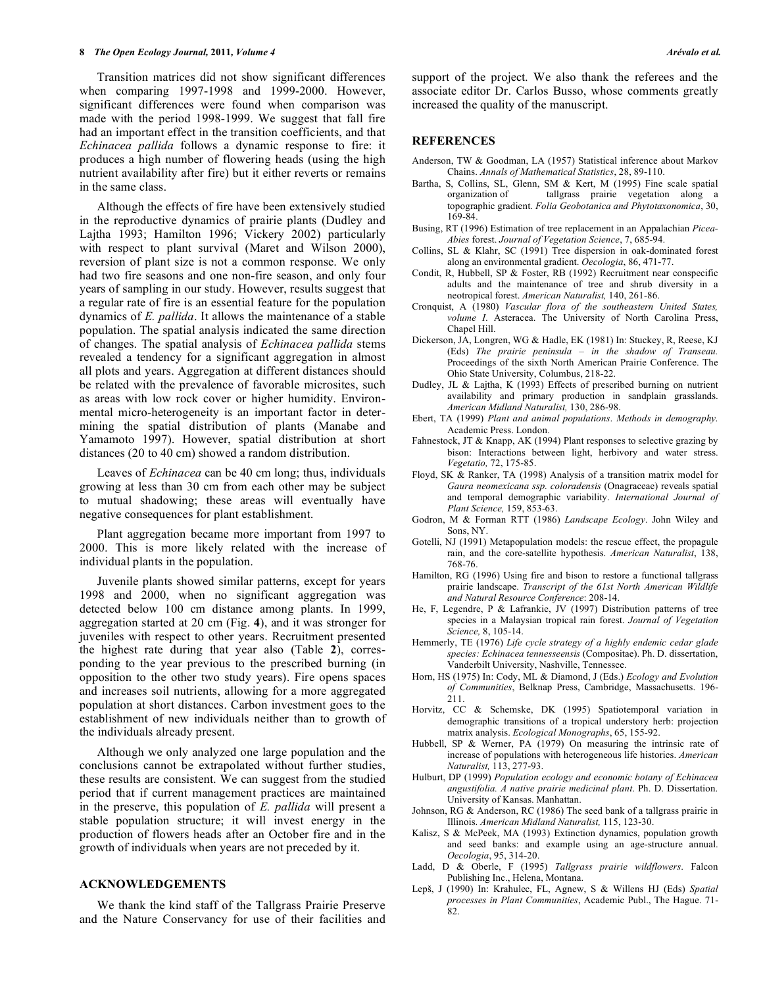Transition matrices did not show significant differences when comparing 1997-1998 and 1999-2000. However, significant differences were found when comparison was made with the period 1998-1999. We suggest that fall fire had an important effect in the transition coefficients, and that *Echinacea pallida* follows a dynamic response to fire: it produces a high number of flowering heads (using the high nutrient availability after fire) but it either reverts or remains in the same class.

Although the effects of fire have been extensively studied in the reproductive dynamics of prairie plants (Dudley and Lajtha 1993; Hamilton 1996; Vickery 2002) particularly with respect to plant survival (Maret and Wilson 2000), reversion of plant size is not a common response. We only had two fire seasons and one non-fire season, and only four years of sampling in our study. However, results suggest that a regular rate of fire is an essential feature for the population dynamics of *E. pallida*. It allows the maintenance of a stable population. The spatial analysis indicated the same direction of changes. The spatial analysis of *Echinacea pallida* stems revealed a tendency for a significant aggregation in almost all plots and years. Aggregation at different distances should be related with the prevalence of favorable microsites, such as areas with low rock cover or higher humidity. Environmental micro-heterogeneity is an important factor in determining the spatial distribution of plants (Manabe and Yamamoto 1997). However, spatial distribution at short distances (20 to 40 cm) showed a random distribution.

Leaves of *Echinacea* can be 40 cm long; thus, individuals growing at less than 30 cm from each other may be subject to mutual shadowing; these areas will eventually have negative consequences for plant establishment.

Plant aggregation became more important from 1997 to 2000. This is more likely related with the increase of individual plants in the population.

Juvenile plants showed similar patterns, except for years 1998 and 2000, when no significant aggregation was detected below 100 cm distance among plants. In 1999, aggregation started at 20 cm (Fig. **4**), and it was stronger for juveniles with respect to other years. Recruitment presented the highest rate during that year also (Table **2**), corresponding to the year previous to the prescribed burning (in opposition to the other two study years). Fire opens spaces and increases soil nutrients, allowing for a more aggregated population at short distances. Carbon investment goes to the establishment of new individuals neither than to growth of the individuals already present.

Although we only analyzed one large population and the conclusions cannot be extrapolated without further studies, these results are consistent. We can suggest from the studied period that if current management practices are maintained in the preserve, this population of *E. pallida* will present a stable population structure; it will invest energy in the production of flowers heads after an October fire and in the growth of individuals when years are not preceded by it.

# **ACKNOWLEDGEMENTS**

We thank the kind staff of the Tallgrass Prairie Preserve and the Nature Conservancy for use of their facilities and support of the project. We also thank the referees and the associate editor Dr. Carlos Busso, whose comments greatly increased the quality of the manuscript.

# **REFERENCES**

- Anderson, TW & Goodman, LA (1957) Statistical inference about Markov Chains. *Annals of Mathematical Statistics*, 28, 89-110.
- Bartha, S, Collins, SL, Glenn, SM & Kert, M (1995) Fine scale spatial organization of tallgrass prairie vegetation along a topographic gradient. *Folia Geobotanica and Phytotaxonomica*, 30, 169-84.
- Busing, RT (1996) Estimation of tree replacement in an Appalachian *Picea-Abies* forest. *Journal of Vegetation Science*, 7, 685-94.
- Collins, SL & Klahr, SC (1991) Tree dispersion in oak-dominated forest along an environmental gradient. *Oecologia*, 86, 471-77.
- Condit, R, Hubbell, SP & Foster, RB (1992) Recruitment near conspecific adults and the maintenance of tree and shrub diversity in a neotropical forest. *American Naturalist,* 140, 261-86.
- Cronquist, A (1980) *Vascular flora of the southeastern United States, volume I*. Asteracea. The University of North Carolina Press, Chapel Hill.
- Dickerson, JA, Longren, WG & Hadle, EK (1981) In: Stuckey, R, Reese, KJ (Eds) *The prairie peninsula – in the shadow of Transeau.* Proceedings of the sixth North American Prairie Conference. The Ohio State University, Columbus, 218-22.
- Dudley, JL & Lajtha, K (1993) Effects of prescribed burning on nutrient availability and primary production in sandplain grasslands. *American Midland Naturalist,* 130, 286-98.
- Ebert, TA (1999) *Plant and animal populations*. *Methods in demography*. Academic Press. London.
- Fahnestock, JT & Knapp, AK (1994) Plant responses to selective grazing by bison: Interactions between light, herbivory and water stress. *Vegetatio,* 72, 175-85.
- Floyd, SK & Ranker, TA (1998) Analysis of a transition matrix model for *Gaura neomexicana ssp. coloradensis* (Onagraceae) reveals spatial and temporal demographic variability. *International Journal of Plant Science,* 159, 853-63.
- Godron, M & Forman RTT (1986) *Landscape Ecology*. John Wiley and Sons, NY.
- Gotelli, NJ (1991) Metapopulation models: the rescue effect, the propagule rain, and the core-satellite hypothesis. *American Naturalist*, 138, 768-76.
- Hamilton, RG (1996) Using fire and bison to restore a functional tallgrass prairie landscape. *Transcript of the 61st North American Wildlife and Natural Resource Conference*: 208-14.
- He, F, Legendre, P & Lafrankie, JV (1997) Distribution patterns of tree species in a Malaysian tropical rain forest. *Journal of Vegetation Science,* 8, 105-14.
- Hemmerly, TE (1976) *Life cycle strategy of a highly endemic cedar glade species: Echinacea tennesseensis* (Compositae). Ph. D. dissertation, Vanderbilt University, Nashville, Tennessee.
- Horn, HS (1975) In: Cody, ML & Diamond, J (Eds.) *Ecology and Evolution of Communities*, Belknap Press, Cambridge, Massachusetts. 196- 211.
- Horvitz, CC & Schemske, DK (1995) Spatiotemporal variation in demographic transitions of a tropical understory herb: projection matrix analysis. *Ecological Monographs*, 65, 155-92.
- Hubbell, SP & Werner, PA (1979) On measuring the intrinsic rate of increase of populations with heterogeneous life histories. *American Naturalist,* 113, 277-93.
- Hulburt, DP (1999) *Population ecology and economic botany of Echinacea angustifolia. A native prairie medicinal plant*. Ph. D. Dissertation. University of Kansas. Manhattan.
- Johnson, RG & Anderson, RC (1986) The seed bank of a tallgrass prairie in Illinois. *American Midland Naturalist,* 115, 123-30.
- Kalisz, S & McPeek, MA (1993) Extinction dynamics, population growth and seed banks: and example using an age-structure annual. *Oecologia*, 95, 314-20.
- Ladd, D & Oberle, F (1995) *Tallgrass prairie wildflowers*. Falcon Publishing Inc., Helena, Montana.
- Lepš, J (1990) In: Krahulec, FL, Agnew, S & Willens HJ (Eds) *Spatial processes in Plant Communities*, Academic Publ., The Hague. 71- 82.